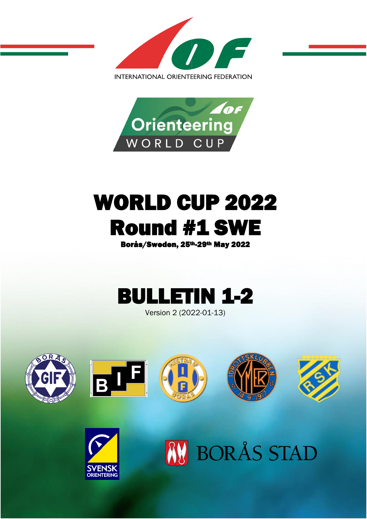



# WORLD CUP 2022 Round #1 SWE

Borås/Sweden, 25th-29th May 2022



Version 2 (2022-01-13)



**AV BORÅS STAD** 

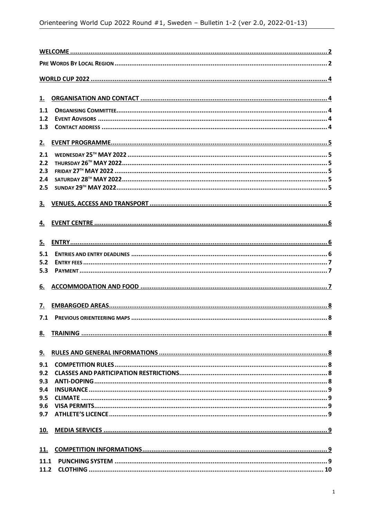| 1.        |  |  |
|-----------|--|--|
| 1.1       |  |  |
| 1.2       |  |  |
| 1.3       |  |  |
| 2.        |  |  |
| 2.1       |  |  |
| 2.2       |  |  |
| 2.3       |  |  |
| 2.4       |  |  |
| 2.5       |  |  |
|           |  |  |
| 3.        |  |  |
| 4.        |  |  |
|           |  |  |
| 5.        |  |  |
| 5.1       |  |  |
| 5.2       |  |  |
| 5.3       |  |  |
| 6.        |  |  |
| 7.        |  |  |
| 7.1       |  |  |
| 8.        |  |  |
| <u>9.</u> |  |  |
| 9.1       |  |  |
| 9.2       |  |  |
| 9.3       |  |  |
| 9.4       |  |  |
| 9.5       |  |  |
| 9.6       |  |  |
| 9.7       |  |  |
| 10.       |  |  |
| 11.       |  |  |
| 11.1      |  |  |
| 11.2      |  |  |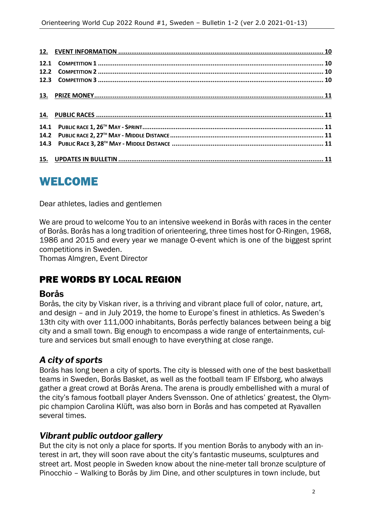## WELCOME

Dear athletes, ladies and gentlemen

We are proud to welcome You to an intensive weekend in Borås with races in the center of Borås. Borås has a long tradition of orienteering, three times host for O-Ringen, 1968, 1986 and 2015 and every year we manage O-event which is one of the biggest sprint competitions in Sweden.

Thomas Almgren, Event Director

#### PRE WORDS BY LOCAL REGION

#### **Borås**

Borås, the city by Viskan river, is a thriving and vibrant place full of color, nature, art, and design – and in July 2019, the home to Europe's finest in athletics. As Sweden's 13th city with over 111,000 inhabitants, Borås perfectly balances between being a big city and a small town. Big enough to encompass a wide range of entertainments, culture and services but small enough to have everything at close range.

#### *A city of sports*

Borås has long been a city of sports. The city is blessed with one of the best basketball teams in Sweden, Borås Basket, as well as the football team IF Elfsborg, who always gather a great crowd at Borås Arena. The arena is proudly embellished with a mural of the city's famous football player Anders Svensson. One of athletics' greatest, the Olympic champion Carolina Klüft, was also born in Borås and has competed at Ryavallen several times.

#### *Vibrant public outdoor gallery*

But the city is not only a place for sports. If you mention Borås to anybody with an interest in art, they will soon rave about the city's fantastic museums, sculptures and street art. Most people in Sweden know about the nine-meter tall bronze sculpture of Pinocchio – Walking to Borås by Jim Dine, and other sculptures in town include, but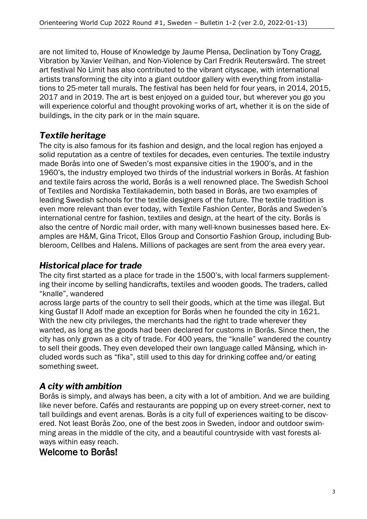are not limited to, House of Knowledge by Jaume Plensa, Declination by Tony Cragg, Vibration by Xavier Veilhan, and Non-Violence by Carl Fredrik Reuterswärd. The street art festival No Limit has also contributed to the vibrant cityscape, with international artists transforming the city into a giant outdoor gallery with everything from installations to 25-meter tall murals. The festival has been held for four years, in 2014, 2015, 2017 and in 2019. The art is best enjoyed on a guided tour, but wherever you go you will experience colorful and thought provoking works of art, whether it is on the side of buildings, in the city park or in the main square.

#### *Textile heritage*

The city is also famous for its fashion and design, and the local region has enjoyed a solid reputation as a centre of textiles for decades, even centuries. The textile industry made Borås into one of Sweden's most expansive cities in the 1900's, and in the 1960's, the industry employed two thirds of the industrial workers in Borås. At fashion and textile fairs across the world, Borås is a well renowned place. The Swedish School of Textiles and Nordiska Textilakademin, both based in Borås, are two examples of leading Swedish schools for the textile designers of the future. The textile tradition is even more relevant than ever today, with Textile Fashion Center, Borås and Sweden's international centre for fashion, textiles and design, at the heart of the city. Borås is also the centre of Nordic mail order, with many well-known businesses based here. Examples are H&M, Gina Tricot, Ellos Group and Consortio Fashion Group, including Bubbleroom, Cellbes and Halens. Millions of packages are sent from the area every year.

#### *Historical place for trade*

The city first started as a place for trade in the 1500's, with local farmers supplementing their income by selling handicrafts, textiles and wooden goods. The traders, called "knalle", wandered

across large parts of the country to sell their goods, which at the time was illegal. But king Gustaf II Adolf made an exception for Borås when he founded the city in 1621. With the new city privileges, the merchants had the right to trade wherever they wanted, as long as the goods had been declared for customs in Borås. Since then, the city has only grown as a city of trade. For 400 years, the "knalle" wandered the country to sell their goods. They even developed their own language called Månsing, which included words such as "fika", still used to this day for drinking coffee and/or eating something sweet.

#### *A city with ambition*

Borås is simply, and always has been, a city with a lot of ambition. And we are building like never before. Cafés and restaurants are popping up on every street-corner, next to tall buildings and event arenas. Borås is a city full of experiences waiting to be discovered. Not least Borås Zoo, one of the best zoos in Sweden, indoor and outdoor swimming areas in the middle of the city, and a beautiful countryside with vast forests always within easy reach.

#### Welcome to Borås!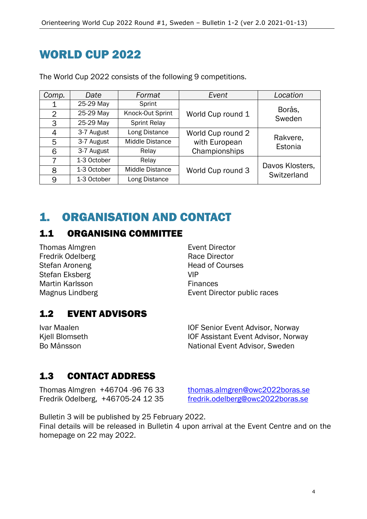## WORLD CUP 2022

| Comp.          | Date        | Format                 | Event                                                                      | Location                       |
|----------------|-------------|------------------------|----------------------------------------------------------------------------|--------------------------------|
|                | 25-29 May   | Sprint                 |                                                                            |                                |
| $\overline{2}$ | 25-29 May   | Knock-Out Sprint       | World Cup round 1                                                          | Borås,<br>Sweden               |
| 3              | 25-29 May   | <b>Sprint Relay</b>    |                                                                            |                                |
| 4              | 3-7 August  | Long Distance          | World Cup round 2<br>Rakvere,<br>with European<br>Estonia<br>Championships |                                |
| 5              | 3-7 August  | Middle Distance        |                                                                            |                                |
| 6              | 3-7 August  | Relay                  |                                                                            |                                |
|                | 1-3 October | Relay                  | World Cup round 3                                                          |                                |
| 8              | 1-3 October | <b>Middle Distance</b> |                                                                            | Davos Klosters,<br>Switzerland |
| 9              | 1-3 October | Long Distance          |                                                                            |                                |

The World Cup 2022 consists of the following 9 competitions.

# 1. ORGANISATION AND CONTACT

#### 1.1 ORGANISING COMMITTEE

Thomas Almgren **Event Director** Fredrik Odelberg **Race Director** Race Director Stefan Aroneng **Head of Courses** Stefan Eksberg VIP Martin Karlsson **Finances** 

Magnus Lindberg **Event Director public races** 

#### 1.2 EVENT ADVISORS

Ivar Maalen **IOF Senior Event Advisor, Norway** Kjell Blomseth **IOF Assistant Event Advisor, Norway** Bo Månsson National Event Advisor, Sweden

#### 1.3 CONTACT ADDRESS

Thomas Almgren +46704 -96 76 33 [thomas.almgren@owc2022boras.se](mailto:thomas.almgren@owc2022boras.se) Fredrik Odelberg, +46705-24 12 35 [fredrik.odelberg@owc2022boras.se](mailto:fredrik.odelberg@owc2022boras.se)

Bulletin 3 will be published by 25 February 2022.

Final details will be released in Bulletin 4 upon arrival at the Event Centre and on the homepage on 22 may 2022.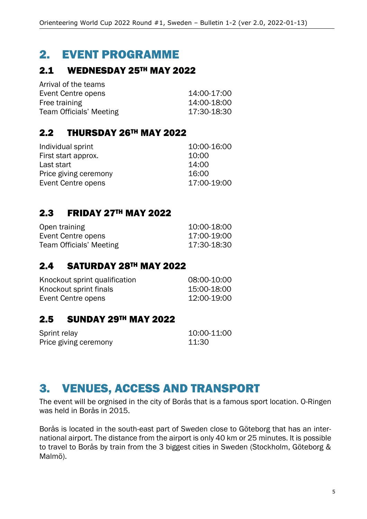## 2. EVENT PROGRAMME

#### 2.1 WEDNESDAY 25TH MAY 2022

| 14:00-17:00 |
|-------------|
| 14:00-18:00 |
| 17:30-18:30 |
|             |

#### 2.2 THURSDAY 26TH MAY 2022

| Individual sprint     | 10:00-16:00 |
|-----------------------|-------------|
| First start approx.   | 10:00       |
| Last start            | 14:00       |
| Price giving ceremony | 16:00       |
| Event Centre opens    | 17:00-19:00 |

#### 2.3 FRIDAY 27TH MAY 2022

| Open training           | 10:00-18:00 |
|-------------------------|-------------|
| Event Centre opens      | 17:00-19:00 |
| Team Officials' Meeting | 17:30-18:30 |

#### 2.4 SATURDAY 28TH MAY 2022

| Knockout sprint qualification | 08:00-10:00 |
|-------------------------------|-------------|
| Knockout sprint finals        | 15:00-18:00 |
| Event Centre opens            | 12:00-19:00 |

#### 2.5 SUNDAY 29TH MAY 2022

| Sprint relay          | 10:00-11:00 |
|-----------------------|-------------|
| Price giving ceremony | 11:30       |

## 3. VENUES, ACCESS AND TRANSPORT

The event will be orgnised in the city of Borås that is a famous sport location. O-Ringen was held in Borås in 2015.

Borås is located in the south-east part of Sweden close to Göteborg that has an international airport. The distance from the airport is only 40 km or 25 minutes. It is possible to travel to Borås by train from the 3 biggest cities in Sweden (Stockholm, Göteborg & Malmö).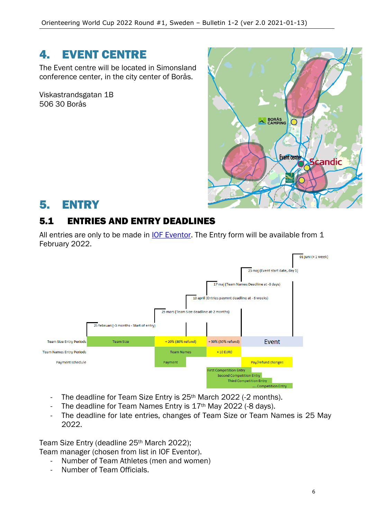## 4. EVENT CENTRE

The Event centre will be located in Simonsland conference center, in the city center of Borås.

Viskastrandsgatan 1B 506 30 Borås



## 5. ENTRY

## 5.1 ENTRIES AND ENTRY DEADLINES

All entries are only to be made in **IOF Eventor**. The Entry form will be available from 1 February 2022.



- The deadline for Team Size Entry is 25<sup>th</sup> March 2022 (-2 months).
- The deadline for Team Names Entry is 17<sup>th</sup> May 2022 (-8 days).
- The deadline for late entries, changes of Team Size or Team Names is 25 May 2022.

Team Size Entry (deadline 25<sup>th</sup> March 2022);

Team manager (chosen from list in IOF Eventor).

- Number of Team Athletes (men and women)
- Number of Team Officials.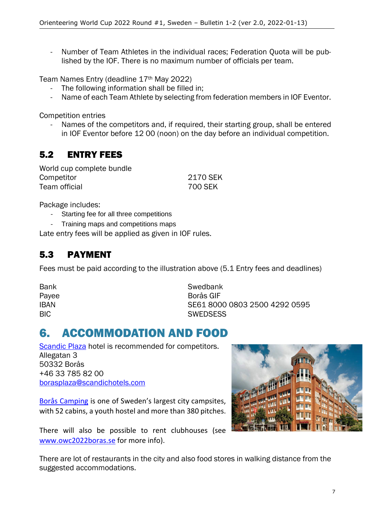- Number of Team Athletes in the individual races; Federation Quota will be published by the IOF. There is no maximum number of officials per team.

Team Names Entry (deadline 17th May 2022)

- The following information shall be filled in;
- Name of each Team Athlete by selecting from federation members in IOF Eventor.

Competition entries

Names of the competitors and, if required, their starting group, shall be entered in IOF Eventor before 12 00 (noon) on the day before an individual competition.

#### 5.2 ENTRY FEES

| World cup complete bundle |          |
|---------------------------|----------|
| Competitor                | 2170 SEK |
| Team official             | 700 SEK  |

Package includes:

- Starting fee for all three competitions
- Training maps and competitions maps

Late entry fees will be applied as given in IOF rules.

#### 5.3 PAYMENT

Fees must be paid according to the illustration above (5.1 Entry fees and deadlines)

| Bank  |
|-------|
| Payee |
| IBAN  |
| BIC   |

Swedbank Borås GIF SE61 8000 0803 2500 4292 0595 **SWEDSESS** 

## 6. ACCOMMODATION AND FOOD

[Scandic Plaza](https://www.scandichotels.com/hotels/sweden/boras/scandic-plaza-boras) hotel is recommended for competitors. Allegatan 3 50332 Borås +46 33 785 82 00 [borasplaza@scandichotels.com](mailto:borasplaza@scandichotels.com)

[Borås Camping](https://www.borascamping.se/) is one of Sweden's largest city campsites, with 52 cabins, a youth hostel and more than 380 pitches.

There will also be possible to rent clubhouses (see [www.owc2022boras.se](http://www.owc2022boras.se/) for more info).



There are lot of restaurants in the city and also food stores in walking distance from the suggested accommodations.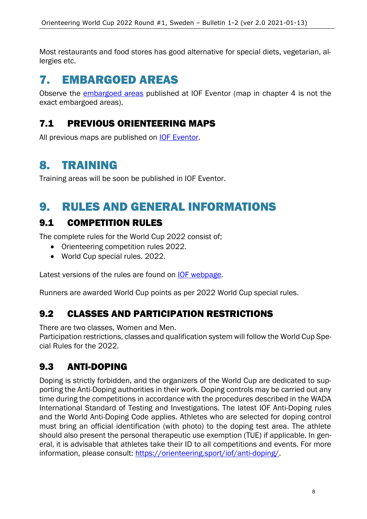Most restaurants and food stores has good alternative for special diets, vegetarian, allergies etc.

# 7. EMBARGOED AREAS

Observe the **embargoed areas** published at IOF Eventor (map in chapter 4 is not the exact embargoed areas).

#### 7.1 PREVIOUS ORIENTEERING MAPS

All previous maps are published on **IOF Eventor**.

## 8. TRAINING

Training areas will be soon be published in IOF Eventor.

## 9. RULES AND GENERAL INFORMATIONS

#### 9.1 COMPETITION RULES

The complete rules for the World Cup 2022 consist of;

- Orienteering competition rules 2022.
- World Cup special rules. 2022.

Latest versions of the rules are found on [IOF webpage.](https://orienteering.sport/orienteering/competition-rules/)

Runners are awarded World Cup points as per 2022 World Cup special rules.

#### 9.2 CLASSES AND PARTICIPATION RESTRICTIONS

There are two classes, Women and Men.

Participation restrictions, classes and qualification system will follow the World Cup Special Rules for the 2022.

#### 9.3 ANTI-DOPING

Doping is strictly forbidden, and the organizers of the World Cup are dedicated to supporting the Anti-Doping authorities in their work. Doping controls may be carried out any time during the competitions in accordance with the procedures described in the WADA International Standard of Testing and Investigations. The latest IOF Anti-Doping rules and the World Anti-Doping Code applies. Athletes who are selected for doping control must bring an official identification (with photo) to the doping test area. The athlete should also present the personal therapeutic use exemption (TUE) if applicable. In general, it is advisable that athletes take their ID to all competitions and events. For more information, please consult: https://orienteering.sport/iof/anti-doping/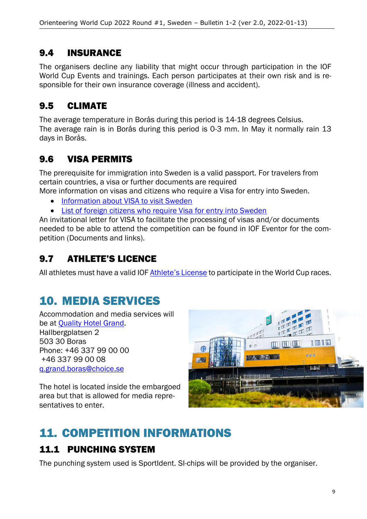#### 9.4 INSURANCE

The organisers decline any liability that might occur through participation in the IOF World Cup Events and trainings. Each person participates at their own risk and is responsible for their own insurance coverage (illness and accident).

## 9.5 CLIMATE

The average temperature in Borås during this period is 14-18 degrees Celsius. The average rain is in Borås during this period is 0-3 mm. In May it normally rain 13 days in Borås.

#### 9.6 VISA PERMITS

The prerequisite for immigration into Sweden is a valid passport. For travelers from certain countries, a visa or further documents are required

More information on visas and citizens who require a Visa for entry into Sweden.

- [Information about VISA to visit Sweden](https://www.government.se/government-policy/migration-and-asylum/information-on-visas/)
- [List of foreign citizens who require Visa for entry into Sweden](https://www.government.se/government-policy/migration-and-asylum/list-of-foreign-citizens-who-require-visa-for-entry-into-sweden/)

An invitational letter for VISA to facilitate the processing of visas and/or documents needed to be able to attend the competition can be found in IOF Eventor for the competition (Documents and links).

## 9.7 ATHLETE'S LICENCE

All athletes must have a valid IOF [Athlete's License](https://orienteering.sport/iof/for-athletes/athletes-licence/) to participate in the World Cup races.

# 10. MEDIA SERVICES

Accommodation and media services will be at [Quality Hotel Grand.](https://www.nordicchoicehotels.com/hotels/sweden/boras/quality-hotel-grand-boras) Hallbergplatsen 2 503 30 Boras Phone: +46 337 99 00 00 +46 337 99 00 08 [q.grand.boras@choice.se](mailto:q.grand.boras@choice.se)

The hotel is located inside the embargoed area but that is allowed for media representatives to enter.



# 11. COMPETITION INFORMATIONS

#### 11.1 PUNCHING SYSTEM

The punching system used is SportIdent. SI-chips will be provided by the organiser.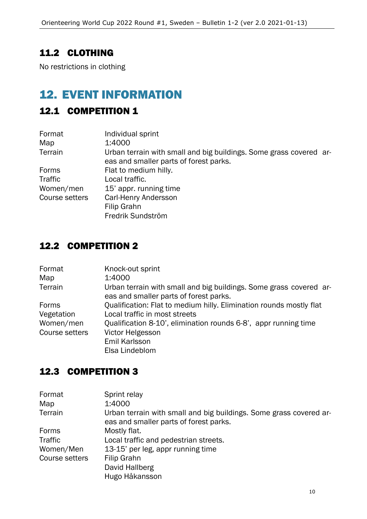#### 11.2 CLOTHING

No restrictions in clothing

## 12. EVENT INFORMATION

#### 12.1 COMPETITION 1

| Format         | Individual sprint                                                                                            |
|----------------|--------------------------------------------------------------------------------------------------------------|
| Map            | 1:4000                                                                                                       |
| Terrain        | Urban terrain with small and big buildings. Some grass covered ar-<br>eas and smaller parts of forest parks. |
| Forms          | Flat to medium hilly.                                                                                        |
| Traffic        | Local traffic.                                                                                               |
| Women/men      | 15' appr. running time                                                                                       |
| Course setters | Carl-Henry Andersson                                                                                         |
|                | Filip Grahn                                                                                                  |
|                | Fredrik Sundström                                                                                            |

#### 12.2 COMPETITION 2

| Format         | Knock-out sprint                                                                                             |
|----------------|--------------------------------------------------------------------------------------------------------------|
| Map            | 1:4000                                                                                                       |
| Terrain        | Urban terrain with small and big buildings. Some grass covered ar-<br>eas and smaller parts of forest parks. |
| Forms          | Qualification: Flat to medium hilly. Elimination rounds mostly flat                                          |
| Vegetation     | Local traffic in most streets                                                                                |
| Women/men      | Qualification 8-10', elimination rounds 6-8', appr running time                                              |
| Course setters | Victor Helgesson                                                                                             |
|                | Emil Karlsson                                                                                                |
|                | Elsa Lindeblom                                                                                               |

#### 12.3 COMPETITION 3

| Format<br>Map  | Sprint relay<br>1:4000                                             |  |  |
|----------------|--------------------------------------------------------------------|--|--|
|                |                                                                    |  |  |
| Terrain        | Urban terrain with small and big buildings. Some grass covered ar- |  |  |
|                | eas and smaller parts of forest parks.                             |  |  |
| Forms          | Mostly flat.                                                       |  |  |
| Traffic        | Local traffic and pedestrian streets.                              |  |  |
| Women/Men      | 13-15' per leg, appr running time                                  |  |  |
| Course setters | Filip Grahn                                                        |  |  |
|                | David Hallberg                                                     |  |  |
|                | Hugo Håkansson                                                     |  |  |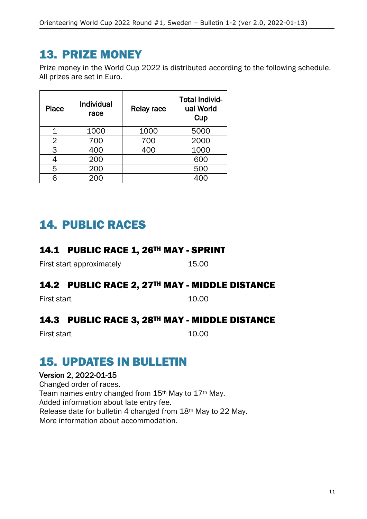## 13. PRIZE MONEY

Prize money in the World Cup 2022 is distributed according to the following schedule. All prizes are set in Euro.

| <b>Place</b>   | <b>Individual</b><br>race | Relay race | <b>Total Individ-</b><br>ual World<br>Cup |
|----------------|---------------------------|------------|-------------------------------------------|
| 1              | 1000                      | 1000       | 5000                                      |
| $\overline{2}$ | 700                       | 700        | 2000                                      |
| 3              | 400                       | 400        | 1000                                      |
| 4              | 200                       |            | 600                                       |
| 5              | 200                       |            | 500                                       |
|                |                           |            |                                           |

# 14. PUBLIC RACES

#### 14.1 PUBLIC RACE 1, 26TH MAY - SPRINT

First start approximately 15.00

#### 14.2 PUBLIC RACE 2, 27TH MAY - MIDDLE DISTANCE

First start 10.00

#### 14.3 PUBLIC RACE 3, 28TH MAY - MIDDLE DISTANCE

First start 10.00

# 15. UPDATES IN BULLETIN

#### Version 2, 2022-01-15

Changed order of races. Team names entry changed from 15th May to 17th May. Added information about late entry fee. Release date for bulletin 4 changed from 18th May to 22 May. More information about accommodation.